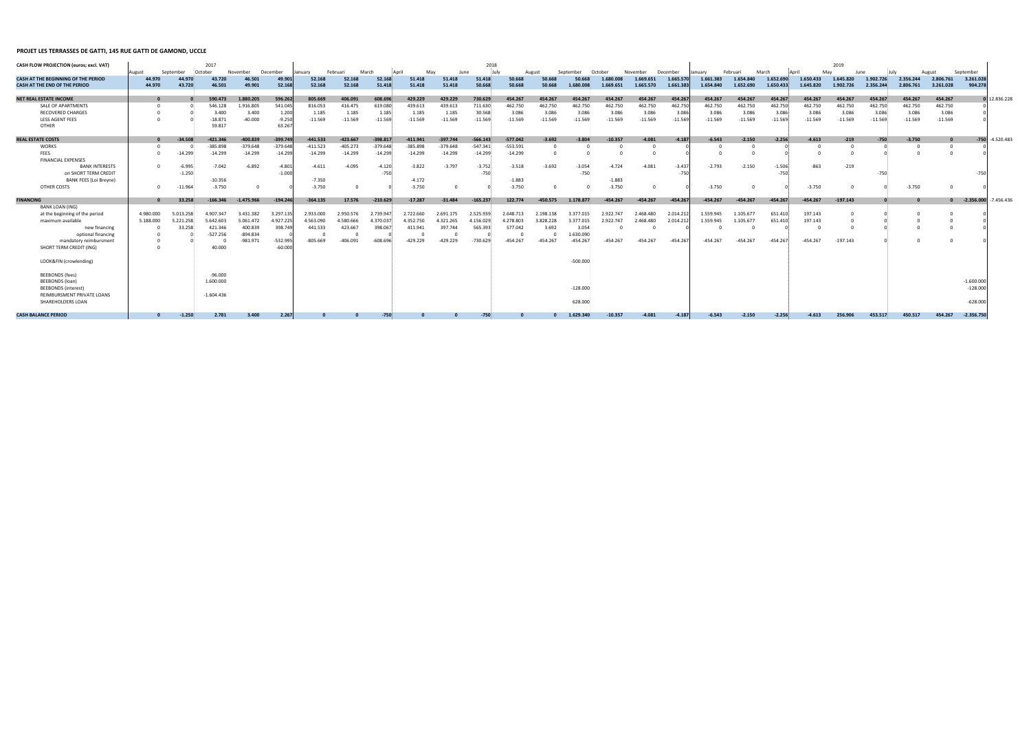## **PROJET LES TERRASSES DE GATTI, 145 RUE GATTI DE GAMOND, UCCLE**

| CASH FLOW PROJECTION (euros; excl. VAT)    |              |           | 2017         |              |                    |            |            |            |                    |                    | 2018       |            |                    |            |                    |            |           | 2019       |                    |            |                    |                    |           |            |              |              |              |  |
|--------------------------------------------|--------------|-----------|--------------|--------------|--------------------|------------|------------|------------|--------------------|--------------------|------------|------------|--------------------|------------|--------------------|------------|-----------|------------|--------------------|------------|--------------------|--------------------|-----------|------------|--------------|--------------|--------------|--|
|                                            | August       | September | October      | November     | December           | January    | Februari   | March      | Anril              | Mav                | June       | luh        | August             | Septe      | October            | November   | December  | lanuarv    | Februari           | March      |                    | Mav                | June      |            |              | September    |              |  |
| <b>CASH AT THE BEGINNING OF THE PERIOD</b> | 44.970       | 44.970    | 43.720       | 16.501       | 49.90              | 52.168     | 52.168     | 52.168     | 51.418             | 51.418             | 51.418     | 50.668     | 50.668             | 50.668     | 1.680.008          | 1.669.651  | 1.665.57  | 1.661.383  | 1.654.840          | 1.652.690  | 1.650.433          | 1.645.820          | 1.902.726 | 2.356.244  | 2.806.761    | 3.261.028    |              |  |
| <b>CASH AT THE END OF THE PERIOD</b>       | 44.970       | 43.720    | 46.501       | 49.901       | 52.16              | 52.168     | 52.168     | 51.418     | 51.418             | 51.418             | 50.668     | 50.668     | 50.668             | 1.680.008  | 1.669.651          | 1.665.570  | 1.661.38  | 1.654.840  | 1.652.690          | 1.650.433  | 1.645.820          | 1.902.726          | 2.356.244 | 2.806.761  | 3.261.028    | 904.278      |              |  |
| <b>NET REAL ESTATE INCOME</b>              | $\mathbf{0}$ |           | 590.473      | 1.880.205    | 596.262            | 805.669    | 406.091    | 608.696    | 429.229            | 429.229            | 730.629    | 454.267    | 454.267            | 454.267    | 454.267            | 454.267    | 454.20    | 454.267    | 454.267            | 454.267    | 454.267            | 454.267            | 454.267   | 454.267    | 454.267      |              | 12.836.228   |  |
| SALE OF APARTMENTS                         |              |           | 546.128      | 1.916.805    | 541.045            | 816.053    | 416.475    | 619.080    | 439.613            | 439.613            | 711.630    | 462.750    | 462.750            | 462.750    | 462.750            | 462.750    |           | 462.750    | 462.750            | 462.750    | 462.750            | 462.750            | 462.750   | 462.750    | 462.750      |              |              |  |
| <b>RECOVERED CHARGES</b>                   |              |           | 3.400        | 3.400        | 1.200              | 1.185      | 1.185      | 1.185      |                    |                    | 30.568     | 3.086      |                    | 3.086      |                    | 3.086      | 462.75    | 3.086      |                    | 3.086      |                    |                    | 3.086     | 3.086      | 3.086        |              |              |  |
| LESS AGENT FEES                            |              |           | $-18.871$    | $-40.000$    |                    | $-11.569$  | $-11.569$  | $-11.569$  | 1.185<br>$-11.569$ | 1.185<br>$-11.569$ | $-11.569$  | $-11.569$  | 3.086<br>$-11.569$ | $-11.569$  | 3.086<br>$-11.569$ | $-11.569$  | 3.08      | $-11.569$  | 3.086<br>$-11.569$ | $-11.569$  | 3.086<br>$-11.569$ | 3.086<br>$-11.569$ | $-11.569$ | $-11.569$  | $-11.569$    |              |              |  |
| <b>OTHER</b>                               |              |           | 59.817       |              | $-9.250$<br>63.267 |            |            |            |                    |                    |            |            |                    |            |                    |            | $-11.56$  |            |                    |            |                    |                    |           |            |              |              |              |  |
| <b>REAL ESTATE COSTS</b>                   |              | $-34.508$ | $-421.346$   | $-400.839$   | $-399.749$         | $-441.533$ | $-423.667$ | $-398.817$ | $-411.941$         | $-397.744$         | $-566.143$ | $-577.042$ | $-3.692$           | $-3.804$   | $-10.357$          | $-4.081$   | $-4.18$   | $-6.543$   | $-2.150$           | $-2.256$   | $-4.613$           | $-219$             | $-750$    | $-3.750$   |              | $-750$       | $-4.520.483$ |  |
| <b>WORKS</b>                               |              |           | 385.898      | $-379.648$   | $-379.648$         | $-411.523$ | $-405.273$ | $-379.648$ | $-385.898$         | $-379.648$         | $-547.341$ | $-553.591$ |                    |            |                    |            |           |            |                    |            |                    |                    |           |            | $\Omega$     |              |              |  |
| <b>FEES</b>                                | $\Omega$     | $-14.299$ | $-14.299$    | $-14.299$    | $-14.299$          | $-14.299$  | $-14.299$  | $-14.299$  | $-14.299$          | $-14.299$          | $-14.299$  | $-14.299$  |                    |            |                    |            |           |            |                    |            |                    |                    |           | $\sqrt{ }$ |              |              |              |  |
| <b>FINANCIAL EXPENSES</b>                  |              |           |              |              |                    |            |            |            |                    |                    |            |            |                    |            |                    |            |           |            |                    |            |                    |                    |           |            |              |              |              |  |
| <b>BANK INTERESTS</b>                      | $\Omega$     | $-6.995$  | $-7.042$     | $-6.892$     | $-4.801$           | $-4.611$   | $-4.095$   | $-4.120$   | $-3.822$           | $-3.797$           | $-3.752$   | $-3.518$   | $-3.692$           | $-3.054$   | $-4.724$           | $-4.081$   | $-3.43$   | $-2.793$   | $-2.150$           | $-1.506$   | $-863$             | $-219$             |           |            |              |              |              |  |
| on SHORT TERM CREDIT                       |              | $-1.250$  |              |              | $-1.000$           |            |            | $-750$     |                    |                    | $-750$     |            |                    | $-750$     |                    |            | $-75$     |            |                    | $-750$     |                    |                    | $-750$    |            |              | $-750$       |              |  |
| <b>BANK FEES (Loi Breyne)</b>              |              |           | $-10.356$    |              |                    | $-7.350$   |            |            | $-4.172$           |                    |            | $-1.883$   |                    |            | $-1.883$           |            |           |            |                    |            |                    |                    |           |            |              |              |              |  |
| OTHER COSTS                                | $\Omega$     | $-11.964$ | $-3.750$     |              |                    | $-3.750$   |            |            | $-3.750$           |                    |            | $-3.750$   |                    |            | $-3.750$           |            |           | $-3.750$   |                    |            | $-3.750$           |                    |           | $-3.750$   |              |              |              |  |
| <b>FINANCING</b>                           |              | 33.258    | 166.346      | $-1.475.966$ | $-194.246$         | $-364.135$ | 17.576     | $-210.629$ | $-17.287$          | $-31.484$          | $-165.237$ | 122.774    | $-450.575$         | 1.178.877  | $-454.267$         | $-454.267$ | $-454.20$ | $-454.267$ | $-454.267$         | $-454.267$ | $-454.267$         | $-197.143$         |           |            | $\mathbf{0}$ | $-2.356.000$ | $-7.456.436$ |  |
| <b>BANK LOAN (ING)</b>                     |              |           |              |              |                    |            |            |            |                    |                    |            |            |                    |            |                    |            |           |            |                    |            |                    |                    |           |            |              |              |              |  |
| at the beginning of the period             | 4.980.000    | 5.013.258 | 4.907.347    | 3.431.382    | 3.297.135          | 2.933.000  | 2.950.576  | 2.739.947  | 2.722.660          | 2.691.175          | 2.525.939  | 2.648.713  | 2.198.138          | 3.377.015  | 2.922.747          | 2.468.480  | 2.014.21  | 1.559.945  | 1.105.677          | 651.410    | 197.143            |                    |           |            |              |              |              |  |
| maximum available                          | 5.188.000    | 5.221.258 | 5.642.603    | 5.061.472    | 4.927.225          | 4.563.090  | 4.580.666  | 4.370.037  | 4.352.750          | 4.321.265          | 4.156.029  | 4.278.803  | 3.828.228          | 3.377.015  | 2.922.747          | 2.468.480  | 2.014.21  | 1.559.945  | 1.105.677          | 651.410    | 197.143            |                    |           |            |              |              |              |  |
| new financing                              |              | 33.258    | 421.346      | 400.839      | 398.749            | 441.533    | 423.667    | 398.067    | 411.941            | 397.744            | 565.393    | 577.042    | 3.692              | 3.054      |                    |            |           |            |                    |            |                    |                    |           |            |              |              |              |  |
| optional financing                         | $\Omega$     |           | $-527.256$   | $-894.834$   |                    |            |            |            |                    |                    |            | - 0        |                    | 1.630.090  |                    |            |           |            |                    |            |                    |                    |           |            |              |              |              |  |
| mandatory reimbursment                     | $\Omega$     |           |              | $-981.971$   | $-532.995$         | $-805.669$ | $-406.091$ | $-608.696$ | $-429.229$         | $-429.229$         | $-730.629$ | $-454.267$ | $-454.267$         | $-454.267$ | $-454.267$         | $-454.267$ | $-454.26$ | $-454.267$ | $-454.267$         | $-454.267$ | $-454.267$         | $-197.143$         |           |            |              |              |              |  |
| SHORT TERM CREDIT (ING)                    | $\sqrt{ }$   |           | 40.000       |              | $-60.000$          |            |            |            |                    |                    |            |            |                    |            |                    |            |           |            |                    |            |                    |                    |           |            |              |              |              |  |
| LOOK&FIN (crowlending)                     |              |           |              |              |                    |            |            |            |                    |                    |            |            |                    | $-500.000$ |                    |            |           |            |                    |            |                    |                    |           |            |              |              |              |  |
| <b>BEEBONDS</b> (fees)                     |              |           | $-96.000$    |              |                    |            |            |            |                    |                    |            |            |                    |            |                    |            |           |            |                    |            |                    |                    |           |            |              |              |              |  |
| <b>BEEBONDS</b> (loan)                     |              |           | 1.600.000    |              |                    |            |            |            |                    |                    |            |            |                    |            |                    |            |           |            |                    |            |                    |                    |           |            |              | $-1.600.000$ |              |  |
| <b>BEEBONDS</b> (interest)                 |              |           |              |              |                    |            |            |            |                    |                    |            |            |                    | $-128.000$ |                    |            |           |            |                    |            |                    |                    |           |            |              | $-128.000$   |              |  |
| REIMBURSMENT PRIVATE LOANS                 |              |           | $-1.604.436$ |              |                    |            |            |            |                    |                    |            |            |                    |            |                    |            |           |            |                    |            |                    |                    |           |            |              |              |              |  |
| SHAREHOLDERS LOAN                          |              |           |              |              |                    |            |            |            |                    |                    |            |            |                    | 628.000    |                    |            |           |            |                    |            |                    |                    |           |            |              | $-628.000$   |              |  |
| <b>CASH BALANCE PERIOD</b>                 |              | $-1.250$  | 2.781        | 3.400        | 2.267              |            |            | $-750$     |                    |                    | $-750$     |            |                    | 1.629.340  | $-10.357$          | $-4.081$   | $-4.187$  | $-6.543$   | $-2.150$           | $-2.256$   | $-4.613$           | 256.906            | 453.517   | 450.517    | 454.267      | $-2.356.750$ |              |  |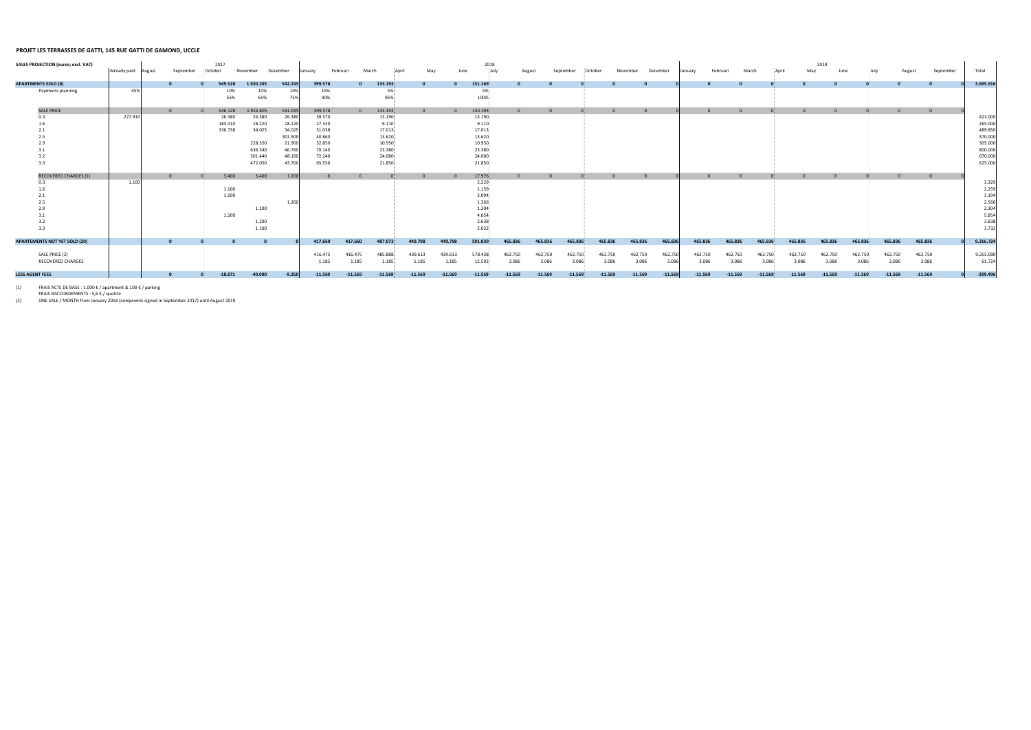## **PROJET LES TERRASSES DE GATTI, 145 RUE GATTI DE GAMOND, UCCLE**

| <b>SALES PROJECTION (euros; excl. VAT)</b> | Already paid August | September | 2017<br>:October        | November           | December                  | anuarv                     | Februar          | March                      | May              |                  | 2018<br>June                      |                  |                  | September        |                  | November         | December         | anuary | Februari         | March            |                  |                  | 2019<br>May      | June             |           |         | September        | Total                            |
|--------------------------------------------|---------------------|-----------|-------------------------|--------------------|---------------------------|----------------------------|------------------|----------------------------|------------------|------------------|-----------------------------------|------------------|------------------|------------------|------------------|------------------|------------------|--------|------------------|------------------|------------------|------------------|------------------|------------------|-----------|---------|------------------|----------------------------------|
| <b>APARTMENTS SOLD (8)</b>                 |                     |           | 549.528                 | 1.920.205          | 542.245                   | 399.578                    |                  | 133.193                    |                  |                  | 151.169                           |                  |                  |                  |                  |                  |                  |        |                  |                  |                  |                  |                  |                  |           |         |                  | 3.695.916                        |
| Payments planning                          | 45%                 |           | 10%<br>55%              | 10%<br>65%         | 75%                       | 15%<br>90%                 |                  | 95%                        |                  |                  | 100%                              |                  |                  |                  |                  |                  |                  |        |                  |                  |                  |                  |                  |                  |           |         |                  |                                  |
| <b>SALE PRICE</b>                          |                     |           | 546.128                 | 1.916.805          | 541.045                   | 399.578                    |                  | 133.193                    |                  |                  | 133.193                           |                  |                  |                  |                  |                  |                  |        |                  |                  |                  | $\Omega$         |                  |                  |           |         |                  |                                  |
| 0.3<br>1.6                                 | 277.910             |           | 26.380<br>183.010       | 26.380<br>18.220   | 26.380<br>18.220          | 39.570<br>27.330           |                  | 13.190<br>9.110            |                  |                  | 13.190<br>9.110                   |                  |                  |                  |                  |                  |                  |        |                  |                  |                  |                  |                  |                  |           |         |                  | 423.000<br>265.000               |
| 2.1<br>2.5<br>2.9                          |                     |           | 336.738                 | 34.025<br>228.350  | 34.02<br>301.90<br>21.900 | 51.038<br>40.860<br>32.850 |                  | 17.013<br>13.620<br>10.950 |                  |                  | 17.013<br>13.620<br>10.950        |                  |                  |                  |                  |                  |                  |        |                  |                  |                  |                  |                  |                  |           |         |                  | 489.850<br>370.000<br>305.000    |
| 3.2                                        |                     |           |                         | 636.340<br>501.440 | 46.760<br>48.160          | 70.140<br>72.240           |                  | 23.380<br>24.080           |                  |                  | 23.380<br>24.080                  |                  |                  |                  |                  |                  |                  |        |                  |                  |                  |                  |                  |                  |           |         |                  | 800.000<br>670.000               |
| 3.3                                        |                     |           |                         | 472.050            | 43.700                    | 65.550                     |                  | 21.850                     |                  |                  | 21.850                            |                  |                  |                  |                  |                  |                  |        |                  |                  |                  |                  |                  |                  |           |         |                  | 625.000                          |
| <b>RECOVERED CHARGES (1)</b>               | 1.100               |           | 3.400<br>1.100<br>1.100 | 3.400              | 1.200                     |                            |                  |                            |                  |                  | 17.976<br>2.229<br>1.159<br>2.094 |                  |                  |                  |                  |                  |                  |        |                  |                  |                  |                  |                  |                  |           |         |                  | 3.329<br>2.259<br>3.194          |
| 2.5<br>2.9<br>3.2                          |                     |           | 1.200                   | 1.100<br>1.200     | 1.200                     |                            |                  |                            |                  |                  | 1.366<br>1.204<br>4.654<br>2.638  |                  |                  |                  |                  |                  |                  |        |                  |                  |                  |                  |                  |                  |           |         |                  | 2.566<br>2.304<br>5.854<br>3.838 |
| 3.3                                        |                     |           |                         | 1.100              |                           |                            |                  |                            |                  |                  | 2.632                             |                  |                  |                  |                  |                  |                  |        |                  |                  |                  |                  |                  |                  |           |         |                  | 3.732                            |
| <b>APARTEMENTS NOT YET SOLD (20)</b>       |                     |           |                         |                    |                           | 417.660                    | 417.660          | 487.073                    | 440.798          | 440.798          | 591.030                           | 465.836          | 465.836          | 465.836          | 465.836          | 465.836          | 465.836          |        | 465.836          | 465.836          | 465.836          | 465.836          | 465.836          | 465.836          | 465.836   | 465.836 |                  | 9.316.724                        |
| SALE PRICE (2)<br><b>RECOVERED CHARGES</b> |                     |           |                         |                    |                           | 416.475<br>1.185           | 416.475<br>1.185 | 485.888<br>1.185           | 439.613<br>1.185 | 439.613<br>1.185 | 578.438<br>12.592                 | 462.750<br>3.086 | 462.750<br>3.086 | 462.750<br>3.086 | 462.750<br>3.086 | 462.750<br>3.086 | 462.750<br>3.086 |        | 462.750<br>3.086 | 462.750<br>3.086 | 462.750<br>3.086 | 462.750<br>3.086 | 462.750<br>3.086 | 462.750<br>3.086 | 462.750   | 3.086   | 462.750<br>3.086 | 9.255.000<br>61.724              |
| <b>LESS AGENT FEES</b>                     |                     |           | $-18.871$               | $-40.000$          | $-9.250$                  | $-11.569$                  | $-11.569$        | $-11.569$                  | $-11.569$        | $-11.569$        | $-11.569$                         | $-11.569$        | $-11.569$        | $-11.569$        | $-11.569$        | $-11.569$        | $-11.569$        |        | $-11.569$        | $-11.569$        | $-11.569$        | $-11.569$        | $-11.569$        | $-11.569$        | $-11.569$ |         | $-11.569$        | $-299.496$                       |

(1)

 FRAIS ACTE DE BASE : 1.000 € / apartment & 100 € / parking FRAIS RACCORDEMENTS : 5,6 € / quotité 5,6 ONE SALE / MONTH from January 2018 (compromis signed in September 2017) until August 2019 (2)